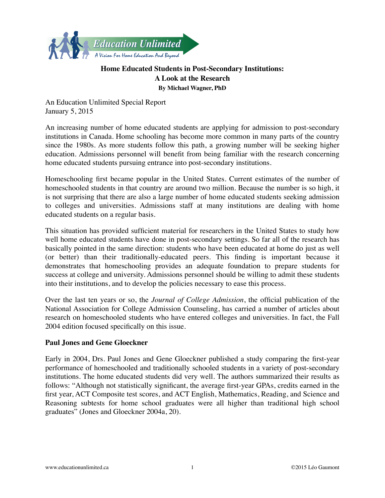

# **Home Educated Students in Post-Secondary Institutions: A Look at the Research By Michael Wagner, PhD**

An Education Unlimited Special Report January 5, 2015

An increasing number of home educated students are applying for admission to post-secondary institutions in Canada. Home schooling has become more common in many parts of the country since the 1980s. As more students follow this path, a growing number will be seeking higher education. Admissions personnel will benefit from being familiar with the research concerning home educated students pursuing entrance into post-secondary institutions.

Homeschooling first became popular in the United States. Current estimates of the number of homeschooled students in that country are around two million. Because the number is so high, it is not surprising that there are also a large number of home educated students seeking admission to colleges and universities. Admissions staff at many institutions are dealing with home educated students on a regular basis.

This situation has provided sufficient material for researchers in the United States to study how well home educated students have done in post-secondary settings. So far all of the research has basically pointed in the same direction: students who have been educated at home do just as well (or better) than their traditionally-educated peers. This finding is important because it demonstrates that homeschooling provides an adequate foundation to prepare students for success at college and university. Admissions personnel should be willing to admit these students into their institutions, and to develop the policies necessary to ease this process.

Over the last ten years or so, the *Journal of College Admission*, the official publication of the National Association for College Admission Counseling, has carried a number of articles about research on homeschooled students who have entered colleges and universities. In fact, the Fall 2004 edition focused specifically on this issue.

## **Paul Jones and Gene Gloeckner**

Early in 2004, Drs. Paul Jones and Gene Gloeckner published a study comparing the first-year performance of homeschooled and traditionally schooled students in a variety of post-secondary institutions. The home educated students did very well. The authors summarized their results as follows: "Although not statistically significant, the average first-year GPAs, credits earned in the first year, ACT Composite test scores, and ACT English, Mathematics, Reading, and Science and Reasoning subtests for home school graduates were all higher than traditional high school graduates" (Jones and Gloeckner 2004a, 20).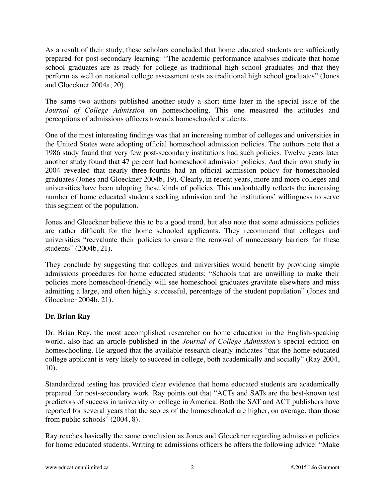As a result of their study, these scholars concluded that home educated students are sufficiently prepared for post-secondary learning: "The academic performance analyses indicate that home school graduates are as ready for college as traditional high school graduates and that they perform as well on national college assessment tests as traditional high school graduates" (Jones and Gloeckner 2004a, 20).

The same two authors published another study a short time later in the special issue of the *Journal of College Admission* on homeschooling. This one measured the attitudes and perceptions of admissions officers towards homeschooled students.

One of the most interesting findings was that an increasing number of colleges and universities in the United States were adopting official homeschool admission policies. The authors note that a 1986 study found that very few post-secondary institutions had such policies. Twelve years later another study found that 47 percent had homeschool admission policies. And their own study in 2004 revealed that nearly three-fourths had an official admission policy for homeschooled graduates (Jones and Gloeckner 2004b, 19). Clearly, in recent years, more and more colleges and universities have been adopting these kinds of policies. This undoubtedly reflects the increasing number of home educated students seeking admission and the institutions' willingness to serve this segment of the population.

Jones and Gloeckner believe this to be a good trend, but also note that some admissions policies are rather difficult for the home schooled applicants. They recommend that colleges and universities "reevaluate their policies to ensure the removal of unnecessary barriers for these students" (2004b, 21).

They conclude by suggesting that colleges and universities would benefit by providing simple admissions procedures for home educated students: "Schools that are unwilling to make their policies more homeschool-friendly will see homeschool graduates gravitate elsewhere and miss admitting a large, and often highly successful, percentage of the student population" (Jones and Gloeckner 2004b, 21).

## **Dr. Brian Ray**

Dr. Brian Ray, the most accomplished researcher on home education in the English-speaking world, also had an article published in the *Journal of College Admission*'s special edition on homeschooling. He argued that the available research clearly indicates "that the home-educated college applicant is very likely to succeed in college, both academically and socially" (Ray 2004, 10).

Standardized testing has provided clear evidence that home educated students are academically prepared for post-secondary work. Ray points out that "ACTs and SATs are the best-known test predictors of success in university or college in America. Both the SAT and ACT publishers have reported for several years that the scores of the homeschooled are higher, on average, than those from public schools" (2004, 8).

Ray reaches basically the same conclusion as Jones and Gloeckner regarding admission policies for home educated students. Writing to admissions officers he offers the following advice: "Make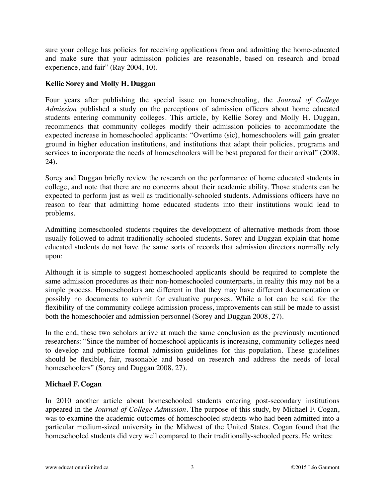sure your college has policies for receiving applications from and admitting the home-educated and make sure that your admission policies are reasonable, based on research and broad experience, and fair" (Ray 2004, 10).

#### **Kellie Sorey and Molly H. Duggan**

Four years after publishing the special issue on homeschooling, the *Journal of College Admission* published a study on the perceptions of admission officers about home educated students entering community colleges. This article, by Kellie Sorey and Molly H. Duggan, recommends that community colleges modify their admission policies to accommodate the expected increase in homeschooled applicants: "Overtime (sic), homeschoolers will gain greater ground in higher education institutions, and institutions that adapt their policies, programs and services to incorporate the needs of homeschoolers will be best prepared for their arrival" (2008, 24).

Sorey and Duggan briefly review the research on the performance of home educated students in college, and note that there are no concerns about their academic ability. Those students can be expected to perform just as well as traditionally-schooled students. Admissions officers have no reason to fear that admitting home educated students into their institutions would lead to problems.

Admitting homeschooled students requires the development of alternative methods from those usually followed to admit traditionally-schooled students. Sorey and Duggan explain that home educated students do not have the same sorts of records that admission directors normally rely upon:

Although it is simple to suggest homeschooled applicants should be required to complete the same admission procedures as their non-homeschooled counterparts, in reality this may not be a simple process. Homeschoolers are different in that they may have different documentation or possibly no documents to submit for evaluative purposes. While a lot can be said for the flexibility of the community college admission process, improvements can still be made to assist both the homeschooler and admission personnel (Sorey and Duggan 2008, 27).

In the end, these two scholars arrive at much the same conclusion as the previously mentioned researchers: "Since the number of homeschool applicants is increasing, community colleges need to develop and publicize formal admission guidelines for this population. These guidelines should be flexible, fair, reasonable and based on research and address the needs of local homeschoolers" (Sorey and Duggan 2008, 27).

## **Michael F. Cogan**

In 2010 another article about homeschooled students entering post-secondary institutions appeared in the *Journal of College Admission*. The purpose of this study, by Michael F. Cogan, was to examine the academic outcomes of homeschooled students who had been admitted into a particular medium-sized university in the Midwest of the United States. Cogan found that the homeschooled students did very well compared to their traditionally-schooled peers. He writes: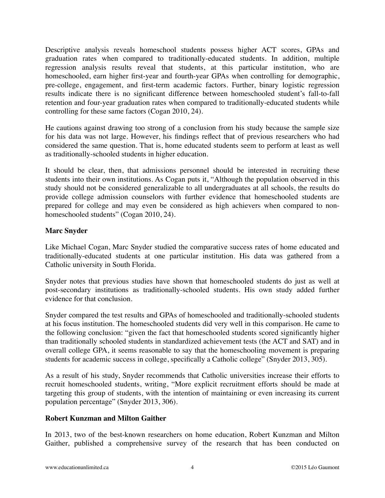Descriptive analysis reveals homeschool students possess higher ACT scores, GPAs and graduation rates when compared to traditionally-educated students. In addition, multiple regression analysis results reveal that students, at this particular institution, who are homeschooled, earn higher first-year and fourth-year GPAs when controlling for demographic, pre-college, engagement, and first-term academic factors. Further, binary logistic regression results indicate there is no significant difference between homeschooled student's fall-to-fall retention and four-year graduation rates when compared to traditionally-educated students while controlling for these same factors (Cogan 2010, 24).

He cautions against drawing too strong of a conclusion from his study because the sample size for his data was not large. However, his findings reflect that of previous researchers who had considered the same question. That is, home educated students seem to perform at least as well as traditionally-schooled students in higher education.

It should be clear, then, that admissions personnel should be interested in recruiting these students into their own institutions. As Cogan puts it, "Although the population observed in this study should not be considered generalizable to all undergraduates at all schools, the results do provide college admission counselors with further evidence that homeschooled students are prepared for college and may even be considered as high achievers when compared to nonhomeschooled students" (Cogan 2010, 24).

### **Marc Snyder**

Like Michael Cogan, Marc Snyder studied the comparative success rates of home educated and traditionally-educated students at one particular institution. His data was gathered from a Catholic university in South Florida.

Snyder notes that previous studies have shown that homeschooled students do just as well at post-secondary institutions as traditionally-schooled students. His own study added further evidence for that conclusion.

Snyder compared the test results and GPAs of homeschooled and traditionally-schooled students at his focus institution. The homeschooled students did very well in this comparison. He came to the following conclusion: "given the fact that homeschooled students scored significantly higher than traditionally schooled students in standardized achievement tests (the ACT and SAT) and in overall college GPA, it seems reasonable to say that the homeschooling movement is preparing students for academic success in college, specifically a Catholic college" (Snyder 2013, 305).

As a result of his study, Snyder recommends that Catholic universities increase their efforts to recruit homeschooled students, writing, "More explicit recruitment efforts should be made at targeting this group of students, with the intention of maintaining or even increasing its current population percentage" (Snyder 2013, 306).

## **Robert Kunzman and Milton Gaither**

In 2013, two of the best-known researchers on home education, Robert Kunzman and Milton Gaither, published a comprehensive survey of the research that has been conducted on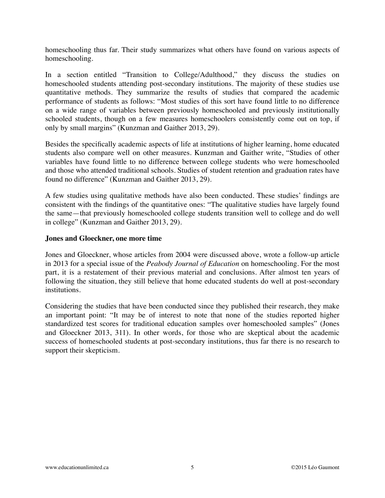homeschooling thus far. Their study summarizes what others have found on various aspects of homeschooling.

In a section entitled "Transition to College/Adulthood," they discuss the studies on homeschooled students attending post-secondary institutions. The majority of these studies use quantitative methods. They summarize the results of studies that compared the academic performance of students as follows: "Most studies of this sort have found little to no difference on a wide range of variables between previously homeschooled and previously institutionally schooled students, though on a few measures homeschoolers consistently come out on top, if only by small margins" (Kunzman and Gaither 2013, 29).

Besides the specifically academic aspects of life at institutions of higher learning, home educated students also compare well on other measures. Kunzman and Gaither write, "Studies of other variables have found little to no difference between college students who were homeschooled and those who attended traditional schools. Studies of student retention and graduation rates have found no difference" (Kunzman and Gaither 2013, 29).

A few studies using qualitative methods have also been conducted. These studies' findings are consistent with the findings of the quantitative ones: "The qualitative studies have largely found the same—that previously homeschooled college students transition well to college and do well in college" (Kunzman and Gaither 2013, 29).

#### **Jones and Gloeckner, one more time**

Jones and Gloeckner, whose articles from 2004 were discussed above, wrote a follow-up article in 2013 for a special issue of the *Peabody Journal of Education* on homeschooling. For the most part, it is a restatement of their previous material and conclusions. After almost ten years of following the situation, they still believe that home educated students do well at post-secondary institutions.

Considering the studies that have been conducted since they published their research, they make an important point: "It may be of interest to note that none of the studies reported higher standardized test scores for traditional education samples over homeschooled samples" (Jones and Gloeckner 2013, 311). In other words, for those who are skeptical about the academic success of homeschooled students at post-secondary institutions, thus far there is no research to support their skepticism.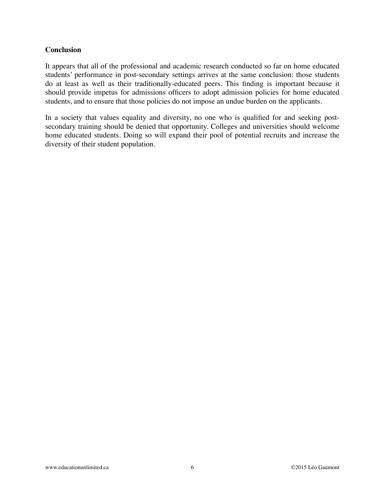#### **Conclusion**

It appears that all of the professional and academic research conducted so far on home educated students' performance in post-secondary settings arrives at the same conclusion: those students do at least as well as their traditionally-educated peers. This finding is important because it should provide impetus for admissions officers to adopt admission policies for home educated students, and to ensure that those policies do not impose an undue burden on the applicants.

In a society that values equality and diversity, no one who is qualified for and seeking postsecondary training should be denied that opportunity. Colleges and universities should welcome home educated students. Doing so will expand their pool of potential recruits and increase the diversity of their student population.